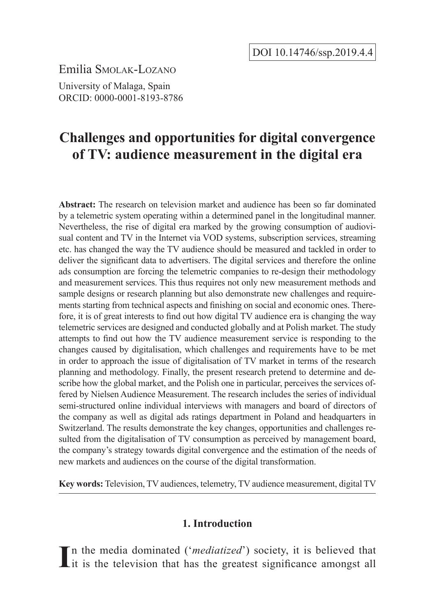Emilia Smolak-Lozano

University of Malaga, Spain ORCID: 0000-0001-8193-8786

# **Challenges and opportunities for digital convergence of TV: audience measurement in the digital era**

**Abstract:** The research on television market and audience has been so far dominated by a telemetric system operating within a determined panel in the longitudinal manner. Nevertheless, the rise of digital era marked by the growing consumption of audiovisual content and TV in the Internet via VOD systems, subscription services, streaming etc. has changed the way the TV audience should be measured and tackled in order to deliver the significant data to advertisers. The digital services and therefore the online ads consumption are forcing the telemetric companies to re-design their methodology and measurement services. This thus requires not only new measurement methods and sample designs or research planning but also demonstrate new challenges and requirements starting from technical aspects and finishing on social and economic ones. Therefore, it is of great interests to find out how digital TV audience era is changing the way telemetric services are designed and conducted globally and at Polish market. The study attempts to find out how the TV audience measurement service is responding to the changes caused by digitalisation, which challenges and requirements have to be met in order to approach the issue of digitalisation of TV market in terms of the research planning and methodology. Finally, the present research pretend to determine and describe how the global market, and the Polish one in particular, perceives the services offered by Nielsen Audience Measurement. The research includes the series of individual semi-structured online individual interviews with managers and board of directors of the company as well as digital ads ratings department in Poland and headquarters in Switzerland. The results demonstrate the key changes, opportunities and challenges resulted from the digitalisation of TV consumption as perceived by management board, the company's strategy towards digital convergence and the estimation of the needs of new markets and audiences on the course of the digital transformation.

**Key words:** Television, TV audiences, telemetry, TV audience measurement, digital TV

### **1. Introduction**

In the media dominated ('*mediatized*') society, it is believed that it is the television that has the greatest significance amongst all it is the television that has the greatest significance amongst all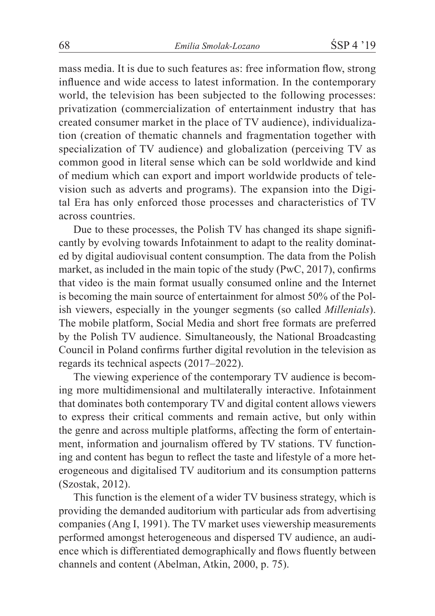mass media. It is due to such features as: free information flow, strong influence and wide access to latest information. In the contemporary world, the television has been subjected to the following processes: privatization (commercialization of entertainment industry that has created consumer market in the place of TV audience), individualization (creation of thematic channels and fragmentation together with specialization of TV audience) and globalization (perceiving TV as common good in literal sense which can be sold worldwide and kind of medium which can export and import worldwide products of television such as adverts and programs). The expansion into the Digital Era has only enforced those processes and characteristics of TV across countries.

Due to these processes, the Polish TV has changed its shape significantly by evolving towards Infotainment to adapt to the reality dominated by digital audiovisual content consumption. The data from the Polish market, as included in the main topic of the study (PwC, 2017), confirms that video is the main format usually consumed online and the Internet is becoming the main source of entertainment for almost 50% of the Polish viewers, especially in the younger segments (so called *Millenials*). The mobile platform, Social Media and short free formats are preferred by the Polish TV audience. Simultaneously, the National Broadcasting Council in Poland confirms further digital revolution in the television as regards its technical aspects (2017–2022).

The viewing experience of the contemporary TV audience is becoming more multidimensional and multilaterally interactive. Infotainment that dominates both contemporary TV and digital content allows viewers to express their critical comments and remain active, but only within the genre and across multiple platforms, affecting the form of entertainment, information and journalism offered by TV stations. TV functioning and content has begun to reflect the taste and lifestyle of a more heterogeneous and digitalised TV auditorium and its consumption patterns (Szostak, 2012).

This function is the element of a wider TV business strategy, which is providing the demanded auditorium with particular ads from advertising companies (Ang I, 1991). The TV market uses viewership measurements performed amongst heterogeneous and dispersed TV audience, an audience which is differentiated demographically and flows fluently between channels and content (Abelman, Atkin, 2000, p. 75).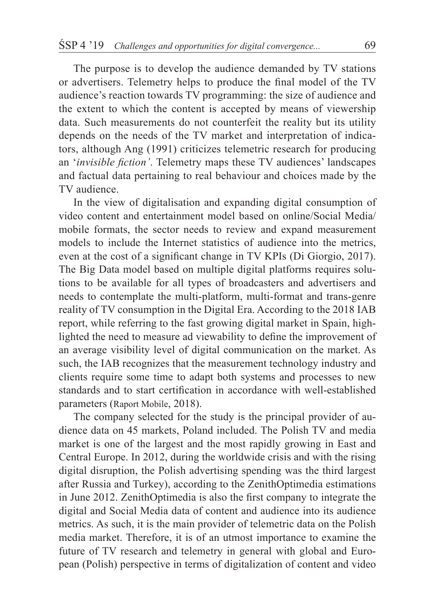The purpose is to develop the audience demanded by TV stations or advertisers. Telemetry helps to produce the final model of the TV audience's reaction towards TV programming: the size of audience and the extent to which the content is accepted by means of viewership data. Such measurements do not counterfeit the reality but its utility depends on the needs of the TV market and interpretation of indicators, although Ang (1991) criticizes telemetric research for producing an '*invisible fiction'*. Telemetry maps these TV audiences' landscapes and factual data pertaining to real behaviour and choices made by the TV audience.

In the view of digitalisation and expanding digital consumption of video content and entertainment model based on online/Social Media/ mobile formats, the sector needs to review and expand measurement models to include the Internet statistics of audience into the metrics, even at the cost of a significant change in TV KPIs (Di Giorgio, 2017). The Big Data model based on multiple digital platforms requires solutions to be available for all types of broadcasters and advertisers and needs to contemplate the multi-platform, multi-format and trans-genre reality of TV consumption in the Digital Era. According to the 2018 IAB report, while referring to the fast growing digital market in Spain, highlighted the need to measure ad viewability to define the improvement of an average visibility level of digital communication on the market. As such, the IAB recognizes that the measurement technology industry and clients require some time to adapt both systems and processes to new standards and to start certification in accordance with well-established parameters (Raport Mobile, 2018).

The company selected for the study is the principal provider of audience data on 45 markets, Poland included. The Polish TV and media market is one of the largest and the most rapidly growing in East and Central Europe. In 2012, during the worldwide crisis and with the rising digital disruption, the Polish advertising spending was the third largest after Russia and Turkey), according to the ZenithOptimedia estimations in June 2012. ZenithOptimedia is also the first company to integrate the digital and Social Media data of content and audience into its audience metrics. As such, it is the main provider of telemetric data on the Polish media market. Therefore, it is of an utmost importance to examine the future of TV research and telemetry in general with global and European (Polish) perspective in terms of digitalization of content and video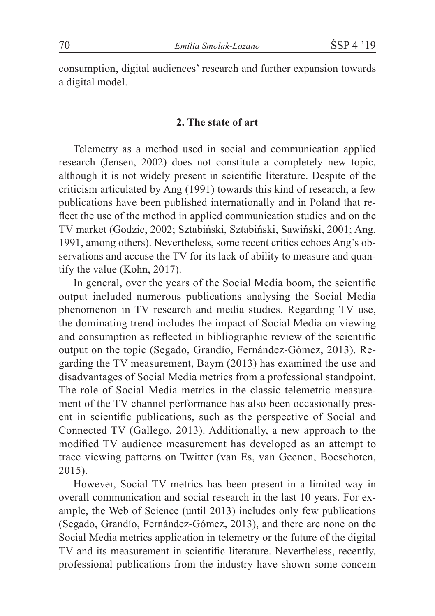consumption, digital audiences' research and further expansion towards a digital model.

#### **2. The state of art**

Telemetry as a method used in social and communication applied research (Jensen, 2002) does not constitute a completely new topic, although it is not widely present in scientific literature. Despite of the criticism articulated by Ang (1991) towards this kind of research, a few publications have been published internationally and in Poland that reflect the use of the method in applied communication studies and on the TV market (Godzic, 2002; Sztabiński, Sztabiński, Sawiński, 2001; Ang, 1991, among others). Nevertheless, some recent critics echoes Ang's observations and accuse the TV for its lack of ability to measure and quantify the value (Kohn, 2017).

In general, over the years of the Social Media boom, the scientific output included numerous publications analysing the Social Media phenomenon in TV research and media studies. Regarding TV use, the dominating trend includes the impact of Social Media on viewing and consumption as reflected in bibliographic review of the scientific output on the topic (Segado, Grandío, Fernández-Gómez, 2013). Regarding the TV measurement, Baym (2013) has examined the use and disadvantages of Social Media metrics from a professional standpoint. The role of Social Media metrics in the classic telemetric measurement of the TV channel performance has also been occasionally present in scientific publications, such as the perspective of Social and Connected TV (Gallego, 2013). Additionally, a new approach to the modified TV audience measurement has developed as an attempt to trace viewing patterns on Twitter (van Es, van Geenen, Boeschoten, 2015).

However, Social TV metrics has been present in a limited way in overall communication and social research in the last 10 years. For example, the Web of Science (until 2013) includes only few publications (Segado, Grandío, Fernández-Gómez**,** 2013), and there are none on the Social Media metrics application in telemetry or the future of the digital TV and its measurement in scientific literature. Nevertheless, recently, professional publications from the industry have shown some concern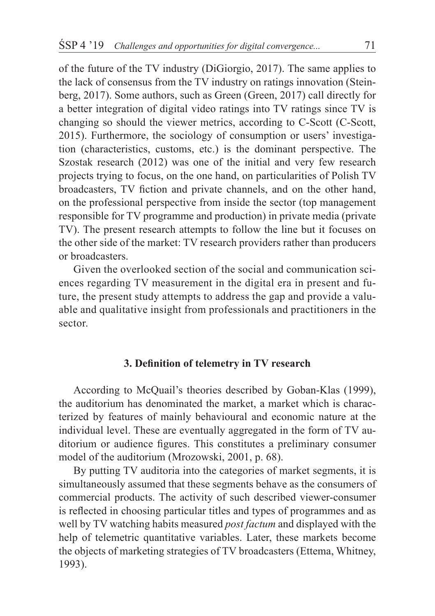of the future of the TV industry (DiGiorgio, 2017). The same applies to the lack of consensus from the TV industry on ratings innovation (Steinberg, 2017). Some authors, such as Green (Green, 2017) call directly for a better integration of digital video ratings into TV ratings since TV is changing so should the viewer metrics, according to C-Scott (C-Scott, 2015). Furthermore, the sociology of consumption or users' investigation (characteristics, customs, etc.) is the dominant perspective. The Szostak research (2012) was one of the initial and very few research projects trying to focus, on the one hand, on particularities of Polish TV broadcasters, TV fiction and private channels, and on the other hand, on the professional perspective from inside the sector (top management responsible for TV programme and production) in private media (private TV). The present research attempts to follow the line but it focuses on the other side of the market: TV research providers rather than producers or broadcasters.

Given the overlooked section of the social and communication sciences regarding TV measurement in the digital era in present and future, the present study attempts to address the gap and provide a valuable and qualitative insight from professionals and practitioners in the sector.

### **3. Definition of telemetry in TV research**

According to McQuail's theories described by Goban-Klas (1999), the auditorium has denominated the market, a market which is characterized by features of mainly behavioural and economic nature at the individual level. These are eventually aggregated in the form of TV auditorium or audience figures. This constitutes a preliminary consumer model of the auditorium (Mrozowski, 2001, p. 68).

By putting TV auditoria into the categories of market segments, it is simultaneously assumed that these segments behave as the consumers of commercial products. The activity of such described viewer-consumer is reflected in choosing particular titles and types of programmes and as well by TV watching habits measured *post factum* and displayed with the help of telemetric quantitative variables. Later, these markets become the objects of marketing strategies of TV broadcasters (Ettema, Whitney, 1993).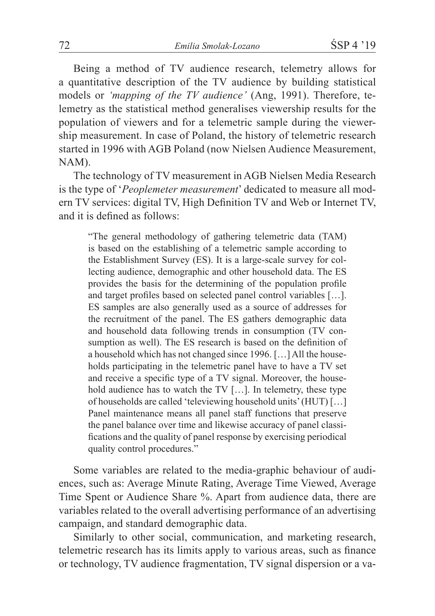Being a method of TV audience research, telemetry allows for a quantitative description of the TV audience by building statistical models or *'mapping of the TV audience'* (Ang, 1991). Therefore, telemetry as the statistical method generalises viewership results for the population of viewers and for a telemetric sample during the viewership measurement. In case of Poland, the history of telemetric research started in 1996 with AGB Poland (now Nielsen Audience Measurement, NAM).

The technology of TV measurement in AGB Nielsen Media Research is the type of '*Peoplemeter measurement*' dedicated to measure all modern TV services: digital TV, High Definition TV and Web or Internet TV, and it is defined as follows:

"The general methodology of gathering telemetric data (TAM) is based on the establishing of a telemetric sample according to the Establishment Survey (ES). It is a large-scale survey for collecting audience, demographic and other household data. The ES provides the basis for the determining of the population profile and target profiles based on selected panel control variables […]. ES samples are also generally used as a source of addresses for the recruitment of the panel. The ES gathers demographic data and household data following trends in consumption (TV consumption as well). The ES research is based on the definition of a household which has not changed since 1996. […] All the households participating in the telemetric panel have to have a TV set and receive a specific type of a TV signal. Moreover, the household audience has to watch the TV […]. In telemetry, these type of households are called 'televiewing household units' (HUT) […] Panel maintenance means all panel staff functions that preserve the panel balance over time and likewise accuracy of panel classifications and the quality of panel response by exercising periodical quality control procedures."

Some variables are related to the media-graphic behaviour of audiences, such as: Average Minute Rating, Average Time Viewed, Average Time Spent or Audience Share %. Apart from audience data, there are variables related to the overall advertising performance of an advertising campaign, and standard demographic data.

Similarly to other social, communication, and marketing research, telemetric research has its limits apply to various areas, such as finance or technology, TV audience fragmentation, TV signal dispersion or a va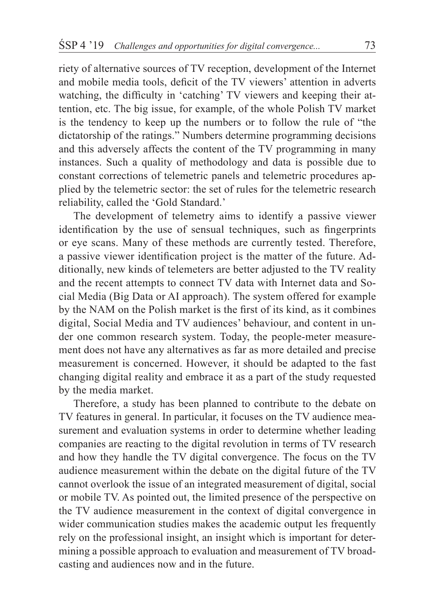riety of alternative sources of TV reception, development of the Internet and mobile media tools, deficit of the TV viewers' attention in adverts watching, the difficulty in 'catching' TV viewers and keeping their attention, etc. The big issue, for example, of the whole Polish TV market is the tendency to keep up the numbers or to follow the rule of "the dictatorship of the ratings." Numbers determine programming decisions and this adversely affects the content of the TV programming in many instances. Such a quality of methodology and data is possible due to constant corrections of telemetric panels and telemetric procedures applied by the telemetric sector: the set of rules for the telemetric research reliability, called the 'Gold Standard.'

The development of telemetry aims to identify a passive viewer identification by the use of sensual techniques, such as fingerprints or eye scans. Many of these methods are currently tested. Therefore, a passive viewer identification project is the matter of the future. Additionally, new kinds of telemeters are better adjusted to the TV reality and the recent attempts to connect TV data with Internet data and Social Media (Big Data or AI approach). The system offered for example by the NAM on the Polish market is the first of its kind, as it combines digital, Social Media and TV audiences' behaviour, and content in under one common research system. Today, the people-meter measurement does not have any alternatives as far as more detailed and precise measurement is concerned. However, it should be adapted to the fast changing digital reality and embrace it as a part of the study requested by the media market.

Therefore, a study has been planned to contribute to the debate on TV features in general. In particular, it focuses on the TV audience measurement and evaluation systems in order to determine whether leading companies are reacting to the digital revolution in terms of TV research and how they handle the TV digital convergence. The focus on the TV audience measurement within the debate on the digital future of the TV cannot overlook the issue of an integrated measurement of digital, social or mobile TV. As pointed out, the limited presence of the perspective on the TV audience measurement in the context of digital convergence in wider communication studies makes the academic output les frequently rely on the professional insight, an insight which is important for determining a possible approach to evaluation and measurement of TV broadcasting and audiences now and in the future.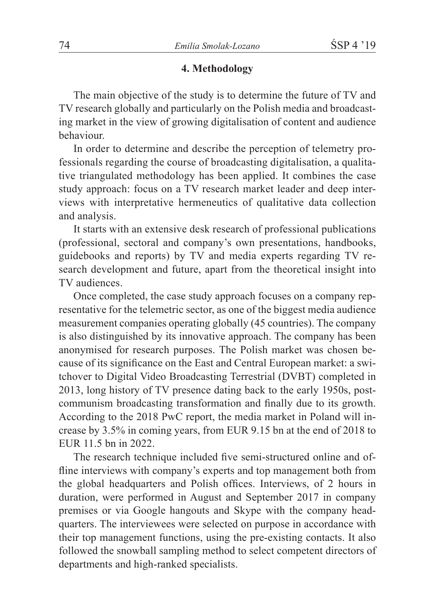### **4. Methodology**

The main objective of the study is to determine the future of TV and TV research globally and particularly on the Polish media and broadcasting market in the view of growing digitalisation of content and audience behaviour.

In order to determine and describe the perception of telemetry professionals regarding the course of broadcasting digitalisation, a qualitative triangulated methodology has been applied. It combines the case study approach: focus on a TV research market leader and deep interviews with interpretative hermeneutics of qualitative data collection and analysis.

It starts with an extensive desk research of professional publications (professional, sectoral and company's own presentations, handbooks, guidebooks and reports) by TV and media experts regarding TV research development and future, apart from the theoretical insight into TV audiences.

Once completed, the case study approach focuses on a company representative for the telemetric sector, as one of the biggest media audience measurement companies operating globally (45 countries). The company is also distinguished by its innovative approach. The company has been anonymised for research purposes. The Polish market was chosen because of its significance on the East and Central European market: a switchover to Digital Video Broadcasting Terrestrial (DVBT) completed in 2013, long history of TV presence dating back to the early 1950s, postcommunism broadcasting transformation and finally due to its growth. According to the 2018 PwC report, the media market in Poland will increase by 3.5% in coming years, from EUR 9.15 bn at the end of 2018 to EUR 11.5 bn in 2022.

The research technique included five semi-structured online and offline interviews with company's experts and top management both from the global headquarters and Polish offices. Interviews, of 2 hours in duration, were performed in August and September 2017 in company premises or via Google hangouts and Skype with the company headquarters. The interviewees were selected on purpose in accordance with their top management functions, using the pre-existing contacts. It also followed the snowball sampling method to select competent directors of departments and high-ranked specialists.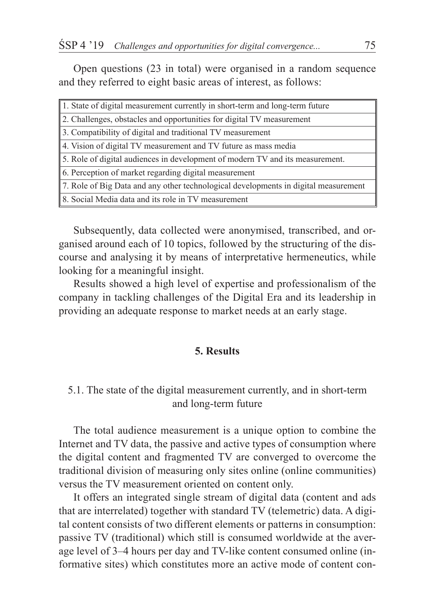Open questions (23 in total) were organised in a random sequence and they referred to eight basic areas of interest, as follows:

| 1. State of digital measurement currently in short-term and long-term future        |
|-------------------------------------------------------------------------------------|
| 2. Challenges, obstacles and opportunities for digital TV measurement               |
| 3. Compatibility of digital and traditional TV measurement                          |
| 4. Vision of digital TV measurement and TV future as mass media                     |
| 5. Role of digital audiences in development of modern TV and its measurement.       |
| 6. Perception of market regarding digital measurement                               |
| 7. Role of Big Data and any other technological developments in digital measurement |
| 8. Social Media data and its role in TV measurement                                 |

Subsequently, data collected were anonymised, transcribed, and organised around each of 10 topics, followed by the structuring of the discourse and analysing it by means of interpretative hermeneutics, while looking for a meaningful insight.

Results showed a high level of expertise and professionalism of the company in tackling challenges of the Digital Era and its leadership in providing an adequate response to market needs at an early stage.

# **5. Results**

## 5.1. The state of the digital measurement currently, and in short-term and long-term future

The total audience measurement is a unique option to combine the Internet and TV data, the passive and active types of consumption where the digital content and fragmented TV are converged to overcome the traditional division of measuring only sites online (online communities) versus the TV measurement oriented on content only.

It offers an integrated single stream of digital data (content and ads that are interrelated) together with standard TV (telemetric) data. A digital content consists of two different elements or patterns in consumption: passive TV (traditional) which still is consumed worldwide at the average level of 3–4 hours per day and TV-like content consumed online (informative sites) which constitutes more an active mode of content con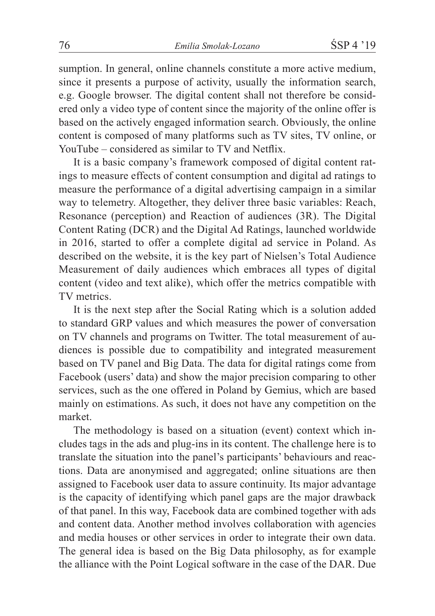sumption. In general, online channels constitute a more active medium, since it presents a purpose of activity, usually the information search, e.g. Google browser. The digital content shall not therefore be considered only a video type of content since the majority of the online offer is based on the actively engaged information search. Obviously, the online content is composed of many platforms such as TV sites, TV online, or YouTube – considered as similar to TV and Netflix.

It is a basic company's framework composed of digital content ratings to measure effects of content consumption and digital ad ratings to measure the performance of a digital advertising campaign in a similar way to telemetry. Altogether, they deliver three basic variables: Reach, Resonance (perception) and Reaction of audiences (3R). The Digital Content Rating (DCR) and the Digital Ad Ratings, launched worldwide in 2016, started to offer a complete digital ad service in Poland. As described on the website, it is the key part of Nielsen's Total Audience Measurement of daily audiences which embraces all types of digital content (video and text alike), which offer the metrics compatible with TV metrics.

It is the next step after the Social Rating which is a solution added to standard GRP values and which measures the power of conversation on TV channels and programs on Twitter. The total measurement of audiences is possible due to compatibility and integrated measurement based on TV panel and Big Data. The data for digital ratings come from Facebook (users' data) and show the major precision comparing to other services, such as the one offered in Poland by Gemius, which are based mainly on estimations. As such, it does not have any competition on the market.

The methodology is based on a situation (event) context which includes tags in the ads and plug-ins in its content. The challenge here is to translate the situation into the panel's participants' behaviours and reactions. Data are anonymised and aggregated; online situations are then assigned to Facebook user data to assure continuity. Its major advantage is the capacity of identifying which panel gaps are the major drawback of that panel. In this way, Facebook data are combined together with ads and content data. Another method involves collaboration with agencies and media houses or other services in order to integrate their own data. The general idea is based on the Big Data philosophy, as for example the alliance with the Point Logical software in the case of the DAR. Due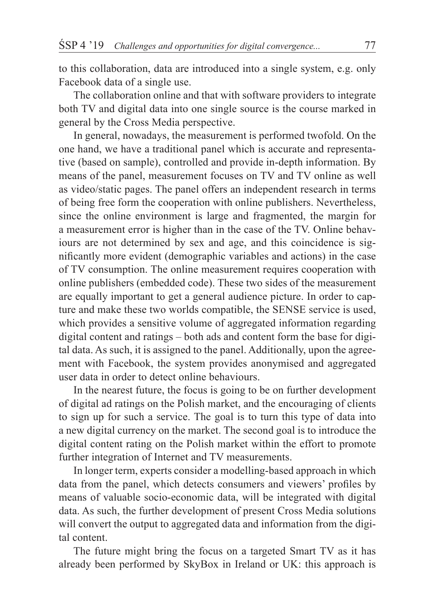to this collaboration, data are introduced into a single system, e.g. only Facebook data of a single use.

The collaboration online and that with software providers to integrate both TV and digital data into one single source is the course marked in general by the Cross Media perspective.

In general, nowadays, the measurement is performed twofold. On the one hand, we have a traditional panel which is accurate and representative (based on sample), controlled and provide in-depth information. By means of the panel, measurement focuses on TV and TV online as well as video/static pages. The panel offers an independent research in terms of being free form the cooperation with online publishers. Nevertheless, since the online environment is large and fragmented, the margin for a measurement error is higher than in the case of the TV. Online behaviours are not determined by sex and age, and this coincidence is significantly more evident (demographic variables and actions) in the case of TV consumption. The online measurement requires cooperation with online publishers (embedded code). These two sides of the measurement are equally important to get a general audience picture. In order to capture and make these two worlds compatible, the SENSE service is used, which provides a sensitive volume of aggregated information regarding digital content and ratings – both ads and content form the base for digital data. As such, it is assigned to the panel. Additionally, upon the agreement with Facebook, the system provides anonymised and aggregated user data in order to detect online behaviours.

In the nearest future, the focus is going to be on further development of digital ad ratings on the Polish market, and the encouraging of clients to sign up for such a service. The goal is to turn this type of data into a new digital currency on the market. The second goal is to introduce the digital content rating on the Polish market within the effort to promote further integration of Internet and TV measurements.

In longer term, experts consider a modelling-based approach in which data from the panel, which detects consumers and viewers' profiles by means of valuable socio-economic data, will be integrated with digital data. As such, the further development of present Cross Media solutions will convert the output to aggregated data and information from the digital content.

The future might bring the focus on a targeted Smart TV as it has already been performed by SkyBox in Ireland or UK: this approach is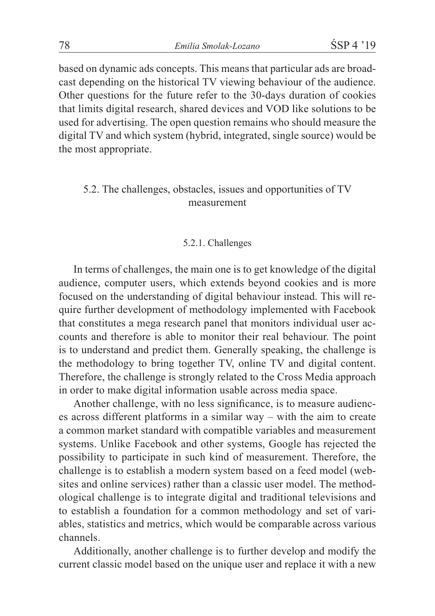based on dynamic ads concepts. This means that particular ads are broadcast depending on the historical TV viewing behaviour of the audience. Other questions for the future refer to the 30-days duration of cookies that limits digital research, shared devices and VOD like solutions to be used for advertising. The open question remains who should measure the digital TV and which system (hybrid, integrated, single source) would be the most appropriate.

# 5.2. The challenges, obstacles, issues and opportunities of TV measurement

#### 5.2.1. Challenges

In terms of challenges, the main one is to get knowledge of the digital audience, computer users, which extends beyond cookies and is more focused on the understanding of digital behaviour instead. This will require further development of methodology implemented with Facebook that constitutes a mega research panel that monitors individual user accounts and therefore is able to monitor their real behaviour. The point is to understand and predict them. Generally speaking, the challenge is the methodology to bring together TV, online TV and digital content. Therefore, the challenge is strongly related to the Cross Media approach in order to make digital information usable across media space.

Another challenge, with no less significance, is to measure audiences across different platforms in a similar way – with the aim to create a common market standard with compatible variables and measurement systems. Unlike Facebook and other systems, Google has rejected the possibility to participate in such kind of measurement. Therefore, the challenge is to establish a modern system based on a feed model (websites and online services) rather than a classic user model. The methodological challenge is to integrate digital and traditional televisions and to establish a foundation for a common methodology and set of variables, statistics and metrics, which would be comparable across various channels.

Additionally, another challenge is to further develop and modify the current classic model based on the unique user and replace it with a new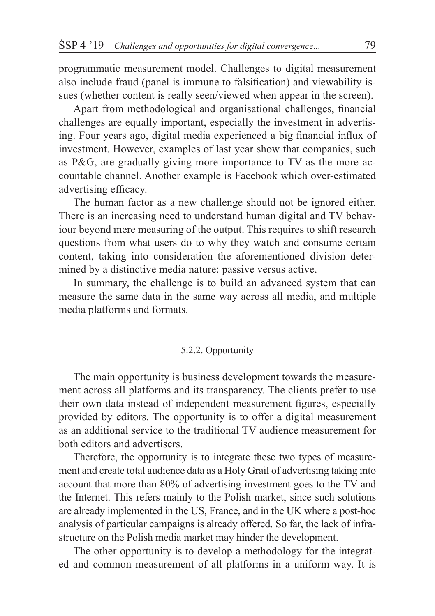programmatic measurement model. Challenges to digital measurement also include fraud (panel is immune to falsification) and viewability issues (whether content is really seen/viewed when appear in the screen).

Apart from methodological and organisational challenges, financial challenges are equally important, especially the investment in advertising. Four years ago, digital media experienced a big financial influx of investment. However, examples of last year show that companies, such as P&G, are gradually giving more importance to TV as the more accountable channel. Another example is Facebook which over-estimated advertising efficacy.

The human factor as a new challenge should not be ignored either. There is an increasing need to understand human digital and TV behaviour beyond mere measuring of the output. This requires to shift research questions from what users do to why they watch and consume certain content, taking into consideration the aforementioned division determined by a distinctive media nature: passive versus active.

In summary, the challenge is to build an advanced system that can measure the same data in the same way across all media, and multiple media platforms and formats.

#### 5.2.2. Opportunity

The main opportunity is business development towards the measurement across all platforms and its transparency. The clients prefer to use their own data instead of independent measurement figures, especially provided by editors. The opportunity is to offer a digital measurement as an additional service to the traditional TV audience measurement for both editors and advertisers.

Therefore, the opportunity is to integrate these two types of measurement and create total audience data as a Holy Grail of advertising taking into account that more than 80% of advertising investment goes to the TV and the Internet. This refers mainly to the Polish market, since such solutions are already implemented in the US, France, and in the UK where a post-hoc analysis of particular campaigns is already offered. So far, the lack of infrastructure on the Polish media market may hinder the development.

The other opportunity is to develop a methodology for the integrated and common measurement of all platforms in a uniform way. It is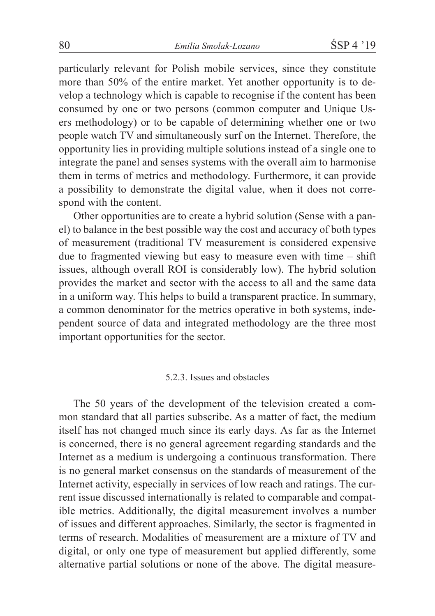particularly relevant for Polish mobile services, since they constitute more than 50% of the entire market. Yet another opportunity is to develop a technology which is capable to recognise if the content has been consumed by one or two persons (common computer and Unique Users methodology) or to be capable of determining whether one or two people watch TV and simultaneously surf on the Internet. Therefore, the opportunity lies in providing multiple solutions instead of a single one to integrate the panel and senses systems with the overall aim to harmonise them in terms of metrics and methodology. Furthermore, it can provide a possibility to demonstrate the digital value, when it does not correspond with the content.

Other opportunities are to create a hybrid solution (Sense with a panel) to balance in the best possible way the cost and accuracy of both types of measurement (traditional TV measurement is considered expensive due to fragmented viewing but easy to measure even with time – shift issues, although overall ROI is considerably low). The hybrid solution provides the market and sector with the access to all and the same data in a uniform way. This helps to build a transparent practice. In summary, a common denominator for the metrics operative in both systems, independent source of data and integrated methodology are the three most important opportunities for the sector.

#### 5.2.3. Issues and obstacles

The 50 years of the development of the television created a common standard that all parties subscribe. As a matter of fact, the medium itself has not changed much since its early days. As far as the Internet is concerned, there is no general agreement regarding standards and the Internet as a medium is undergoing a continuous transformation. There is no general market consensus on the standards of measurement of the Internet activity, especially in services of low reach and ratings. The current issue discussed internationally is related to comparable and compatible metrics. Additionally, the digital measurement involves a number of issues and different approaches. Similarly, the sector is fragmented in terms of research. Modalities of measurement are a mixture of TV and digital, or only one type of measurement but applied differently, some alternative partial solutions or none of the above. The digital measure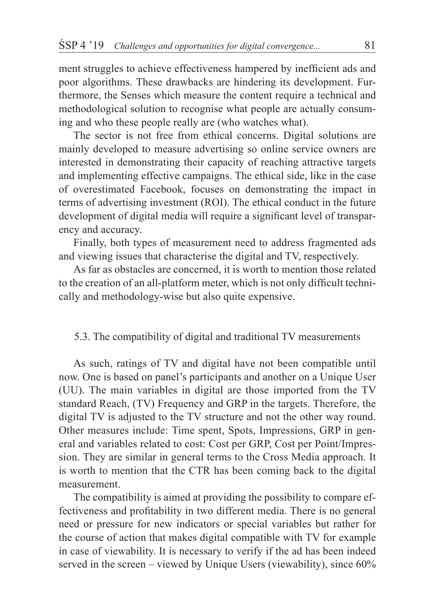ment struggles to achieve effectiveness hampered by inefficient ads and poor algorithms. These drawbacks are hindering its development. Furthermore, the Senses which measure the content require a technical and methodological solution to recognise what people are actually consuming and who these people really are (who watches what).

The sector is not free from ethical concerns. Digital solutions are mainly developed to measure advertising so online service owners are interested in demonstrating their capacity of reaching attractive targets and implementing effective campaigns. The ethical side, like in the case of overestimated Facebook, focuses on demonstrating the impact in terms of advertising investment (ROI). The ethical conduct in the future development of digital media will require a significant level of transparency and accuracy.

Finally, both types of measurement need to address fragmented ads and viewing issues that characterise the digital and TV, respectively.

As far as obstacles are concerned, it is worth to mention those related to the creation of an all-platform meter, which is not only difficult technically and methodology-wise but also quite expensive.

### 5.3. The compatibility of digital and traditional TV measurements

As such, ratings of TV and digital have not been compatible until now. One is based on panel's participants and another on a Unique User (UU). The main variables in digital are those imported from the TV standard Reach, (TV) Frequency and GRP in the targets. Therefore, the digital TV is adjusted to the TV structure and not the other way round. Other measures include: Time spent, Spots, Impressions, GRP in general and variables related to cost: Cost per GRP, Cost per Point/Impression. They are similar in general terms to the Cross Media approach. It is worth to mention that the CTR has been coming back to the digital measurement.

The compatibility is aimed at providing the possibility to compare effectiveness and profitability in two different media. There is no general need or pressure for new indicators or special variables but rather for the course of action that makes digital compatible with TV for example in case of viewability. It is necessary to verify if the ad has been indeed served in the screen – viewed by Unique Users (viewability), since 60%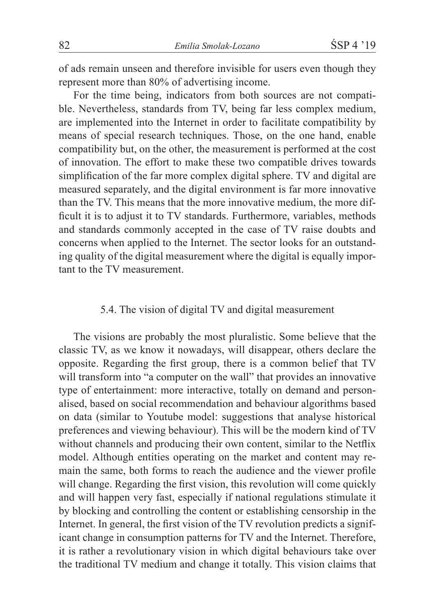of ads remain unseen and therefore invisible for users even though they represent more than 80% of advertising income.

For the time being, indicators from both sources are not compatible. Nevertheless, standards from TV, being far less complex medium, are implemented into the Internet in order to facilitate compatibility by means of special research techniques. Those, on the one hand, enable compatibility but, on the other, the measurement is performed at the cost of innovation. The effort to make these two compatible drives towards simplification of the far more complex digital sphere. TV and digital are measured separately, and the digital environment is far more innovative than the TV. This means that the more innovative medium, the more difficult it is to adjust it to TV standards. Furthermore, variables, methods and standards commonly accepted in the case of TV raise doubts and concerns when applied to the Internet. The sector looks for an outstanding quality of the digital measurement where the digital is equally important to the TV measurement.

### 5.4. The vision of digital TV and digital measurement

The visions are probably the most pluralistic. Some believe that the classic TV, as we know it nowadays, will disappear, others declare the opposite. Regarding the first group, there is a common belief that TV will transform into "a computer on the wall" that provides an innovative type of entertainment: more interactive, totally on demand and personalised, based on social recommendation and behaviour algorithms based on data (similar to Youtube model: suggestions that analyse historical preferences and viewing behaviour). This will be the modern kind of TV without channels and producing their own content, similar to the Netflix model. Although entities operating on the market and content may remain the same, both forms to reach the audience and the viewer profile will change. Regarding the first vision, this revolution will come quickly and will happen very fast, especially if national regulations stimulate it by blocking and controlling the content or establishing censorship in the Internet. In general, the first vision of the TV revolution predicts a significant change in consumption patterns for TV and the Internet. Therefore, it is rather a revolutionary vision in which digital behaviours take over the traditional TV medium and change it totally. This vision claims that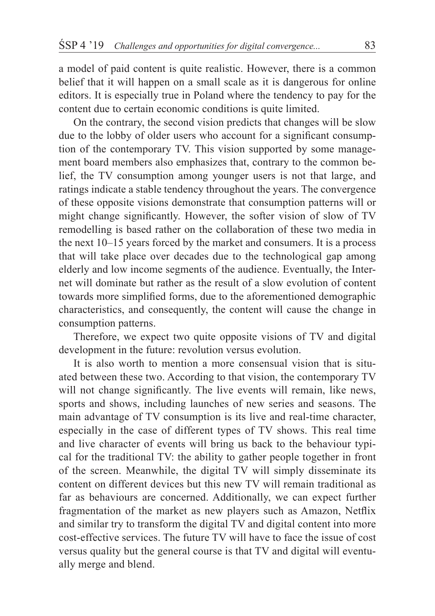a model of paid content is quite realistic. However, there is a common belief that it will happen on a small scale as it is dangerous for online editors. It is especially true in Poland where the tendency to pay for the content due to certain economic conditions is quite limited.

On the contrary, the second vision predicts that changes will be slow due to the lobby of older users who account for a significant consumption of the contemporary TV. This vision supported by some management board members also emphasizes that, contrary to the common belief, the TV consumption among younger users is not that large, and ratings indicate a stable tendency throughout the years. The convergence of these opposite visions demonstrate that consumption patterns will or might change significantly. However, the softer vision of slow of TV remodelling is based rather on the collaboration of these two media in the next 10–15 years forced by the market and consumers. It is a process that will take place over decades due to the technological gap among elderly and low income segments of the audience. Eventually, the Internet will dominate but rather as the result of a slow evolution of content towards more simplified forms, due to the aforementioned demographic characteristics, and consequently, the content will cause the change in consumption patterns.

Therefore, we expect two quite opposite visions of TV and digital development in the future: revolution versus evolution.

It is also worth to mention a more consensual vision that is situated between these two. According to that vision, the contemporary TV will not change significantly. The live events will remain, like news, sports and shows, including launches of new series and seasons. The main advantage of TV consumption is its live and real-time character, especially in the case of different types of TV shows. This real time and live character of events will bring us back to the behaviour typical for the traditional TV: the ability to gather people together in front of the screen. Meanwhile, the digital TV will simply disseminate its content on different devices but this new TV will remain traditional as far as behaviours are concerned. Additionally, we can expect further fragmentation of the market as new players such as Amazon, Netflix and similar try to transform the digital TV and digital content into more cost-effective services. The future TV will have to face the issue of cost versus quality but the general course is that TV and digital will eventually merge and blend.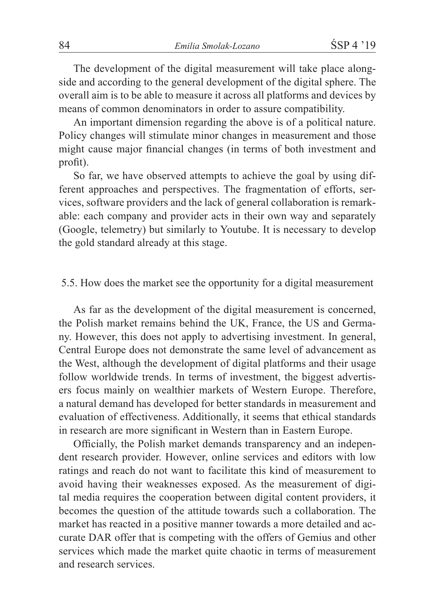The development of the digital measurement will take place alongside and according to the general development of the digital sphere. The overall aim is to be able to measure it across all platforms and devices by means of common denominators in order to assure compatibility.

An important dimension regarding the above is of a political nature. Policy changes will stimulate minor changes in measurement and those might cause major financial changes (in terms of both investment and profit).

So far, we have observed attempts to achieve the goal by using different approaches and perspectives. The fragmentation of efforts, services, software providers and the lack of general collaboration is remarkable: each company and provider acts in their own way and separately (Google, telemetry) but similarly to Youtube. It is necessary to develop the gold standard already at this stage.

### 5.5. How does the market see the opportunity for a digital measurement

As far as the development of the digital measurement is concerned, the Polish market remains behind the UK, France, the US and Germany. However, this does not apply to advertising investment. In general, Central Europe does not demonstrate the same level of advancement as the West, although the development of digital platforms and their usage follow worldwide trends. In terms of investment, the biggest advertisers focus mainly on wealthier markets of Western Europe. Therefore, a natural demand has developed for better standards in measurement and evaluation of effectiveness. Additionally, it seems that ethical standards in research are more significant in Western than in Eastern Europe.

Officially, the Polish market demands transparency and an independent research provider. However, online services and editors with low ratings and reach do not want to facilitate this kind of measurement to avoid having their weaknesses exposed. As the measurement of digital media requires the cooperation between digital content providers, it becomes the question of the attitude towards such a collaboration. The market has reacted in a positive manner towards a more detailed and accurate DAR offer that is competing with the offers of Gemius and other services which made the market quite chaotic in terms of measurement and research services.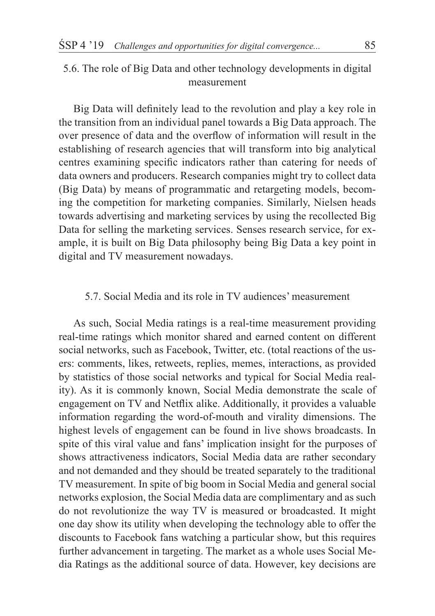5.6. The role of Big Data and other technology developments in digital measurement

Big Data will definitely lead to the revolution and play a key role in the transition from an individual panel towards a Big Data approach. The over presence of data and the overflow of information will result in the establishing of research agencies that will transform into big analytical centres examining specific indicators rather than catering for needs of data owners and producers. Research companies might try to collect data (Big Data) by means of programmatic and retargeting models, becoming the competition for marketing companies. Similarly, Nielsen heads towards advertising and marketing services by using the recollected Big Data for selling the marketing services. Senses research service, for example, it is built on Big Data philosophy being Big Data a key point in digital and TV measurement nowadays.

### 5.7. Social Media and its role in TV audiences' measurement

As such, Social Media ratings is a real-time measurement providing real-time ratings which monitor shared and earned content on different social networks, such as Facebook, Twitter, etc. (total reactions of the users: comments, likes, retweets, replies, memes, interactions, as provided by statistics of those social networks and typical for Social Media reality). As it is commonly known, Social Media demonstrate the scale of engagement on TV and Netflix alike. Additionally, it provides a valuable information regarding the word-of-mouth and virality dimensions. The highest levels of engagement can be found in live shows broadcasts. In spite of this viral value and fans' implication insight for the purposes of shows attractiveness indicators, Social Media data are rather secondary and not demanded and they should be treated separately to the traditional TV measurement. In spite of big boom in Social Media and general social networks explosion, the Social Media data are complimentary and as such do not revolutionize the way TV is measured or broadcasted. It might one day show its utility when developing the technology able to offer the discounts to Facebook fans watching a particular show, but this requires further advancement in targeting. The market as a whole uses Social Media Ratings as the additional source of data. However, key decisions are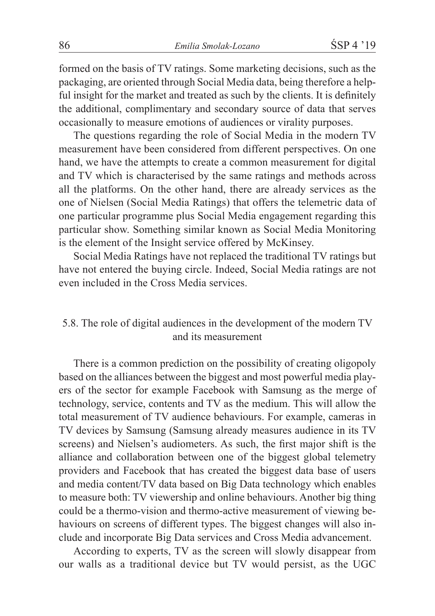formed on the basis of TV ratings. Some marketing decisions, such as the packaging, are oriented through Social Media data, being therefore a helpful insight for the market and treated as such by the clients. It is definitely the additional, complimentary and secondary source of data that serves occasionally to measure emotions of audiences or virality purposes.

The questions regarding the role of Social Media in the modern TV measurement have been considered from different perspectives. On one hand, we have the attempts to create a common measurement for digital and TV which is characterised by the same ratings and methods across all the platforms. On the other hand, there are already services as the one of Nielsen (Social Media Ratings) that offers the telemetric data of one particular programme plus Social Media engagement regarding this particular show. Something similar known as Social Media Monitoring is the element of the Insight service offered by McKinsey.

Social Media Ratings have not replaced the traditional TV ratings but have not entered the buying circle. Indeed, Social Media ratings are not even included in the Cross Media services.

# 5.8. The role of digital audiences in the development of the modern TV and its measurement

There is a common prediction on the possibility of creating oligopoly based on the alliances between the biggest and most powerful media players of the sector for example Facebook with Samsung as the merge of technology, service, contents and TV as the medium. This will allow the total measurement of TV audience behaviours. For example, cameras in TV devices by Samsung (Samsung already measures audience in its TV screens) and Nielsen's audiometers. As such, the first major shift is the alliance and collaboration between one of the biggest global telemetry providers and Facebook that has created the biggest data base of users and media content/TV data based on Big Data technology which enables to measure both: TV viewership and online behaviours. Another big thing could be a thermo-vision and thermo-active measurement of viewing behaviours on screens of different types. The biggest changes will also include and incorporate Big Data services and Cross Media advancement.

According to experts, TV as the screen will slowly disappear from our walls as a traditional device but TV would persist, as the UGC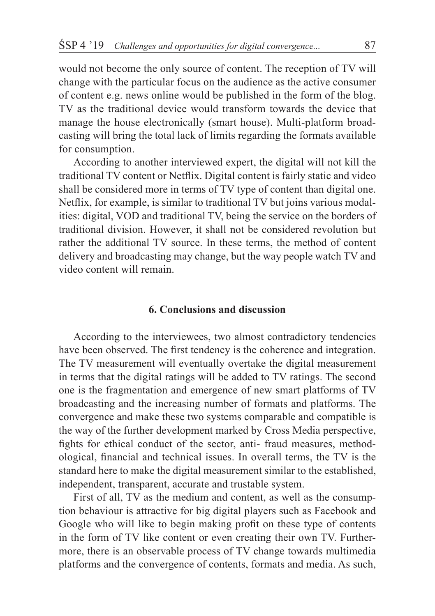would not become the only source of content. The reception of TV will change with the particular focus on the audience as the active consumer of content e.g. news online would be published in the form of the blog. TV as the traditional device would transform towards the device that manage the house electronically (smart house). Multi-platform broadcasting will bring the total lack of limits regarding the formats available for consumption.

According to another interviewed expert, the digital will not kill the traditional TV content or Netflix. Digital content is fairly static and video shall be considered more in terms of TV type of content than digital one. Netflix, for example, is similar to traditional TV but joins various modalities: digital, VOD and traditional TV, being the service on the borders of traditional division. However, it shall not be considered revolution but rather the additional TV source. In these terms, the method of content delivery and broadcasting may change, but the way people watch TV and video content will remain.

### **6. Conclusions and discussion**

According to the interviewees, two almost contradictory tendencies have been observed. The first tendency is the coherence and integration. The TV measurement will eventually overtake the digital measurement in terms that the digital ratings will be added to TV ratings. The second one is the fragmentation and emergence of new smart platforms of TV broadcasting and the increasing number of formats and platforms. The convergence and make these two systems comparable and compatible is the way of the further development marked by Cross Media perspective, fights for ethical conduct of the sector, anti- fraud measures, methodological, financial and technical issues. In overall terms, the TV is the standard here to make the digital measurement similar to the established, independent, transparent, accurate and trustable system.

First of all, TV as the medium and content, as well as the consumption behaviour is attractive for big digital players such as Facebook and Google who will like to begin making profit on these type of contents in the form of TV like content or even creating their own TV. Furthermore, there is an observable process of TV change towards multimedia platforms and the convergence of contents, formats and media. As such,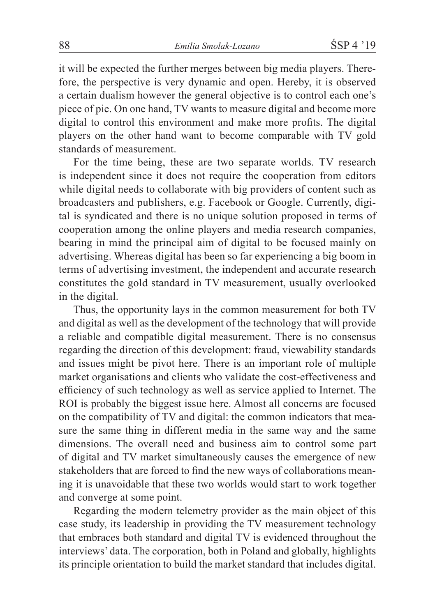it will be expected the further merges between big media players. Therefore, the perspective is very dynamic and open. Hereby, it is observed a certain dualism however the general objective is to control each one's piece of pie. On one hand, TV wants to measure digital and become more digital to control this environment and make more profits. The digital players on the other hand want to become comparable with TV gold standards of measurement.

For the time being, these are two separate worlds. TV research is independent since it does not require the cooperation from editors while digital needs to collaborate with big providers of content such as broadcasters and publishers, e.g. Facebook or Google. Currently, digital is syndicated and there is no unique solution proposed in terms of cooperation among the online players and media research companies, bearing in mind the principal aim of digital to be focused mainly on advertising. Whereas digital has been so far experiencing a big boom in terms of advertising investment, the independent and accurate research constitutes the gold standard in TV measurement, usually overlooked in the digital.

Thus, the opportunity lays in the common measurement for both TV and digital as well as the development of the technology that will provide a reliable and compatible digital measurement. There is no consensus regarding the direction of this development: fraud, viewability standards and issues might be pivot here. There is an important role of multiple market organisations and clients who validate the cost-effectiveness and efficiency of such technology as well as service applied to Internet. The ROI is probably the biggest issue here. Almost all concerns are focused on the compatibility of TV and digital: the common indicators that measure the same thing in different media in the same way and the same dimensions. The overall need and business aim to control some part of digital and TV market simultaneously causes the emergence of new stakeholders that are forced to find the new ways of collaborations meaning it is unavoidable that these two worlds would start to work together and converge at some point.

Regarding the modern telemetry provider as the main object of this case study, its leadership in providing the TV measurement technology that embraces both standard and digital TV is evidenced throughout the interviews' data. The corporation, both in Poland and globally, highlights its principle orientation to build the market standard that includes digital.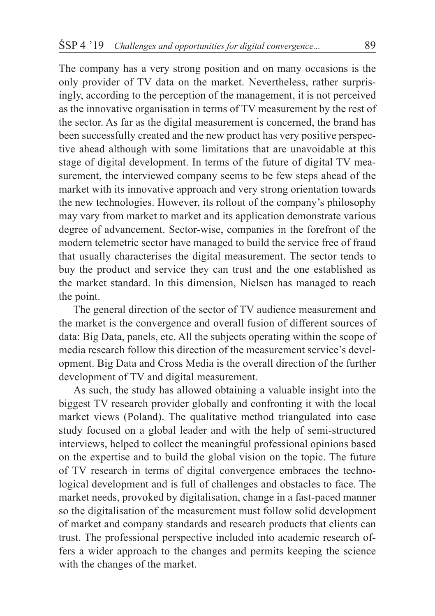The company has a very strong position and on many occasions is the only provider of TV data on the market. Nevertheless, rather surprisingly, according to the perception of the management, it is not perceived as the innovative organisation in terms of TV measurement by the rest of the sector. As far as the digital measurement is concerned, the brand has been successfully created and the new product has very positive perspective ahead although with some limitations that are unavoidable at this stage of digital development. In terms of the future of digital TV measurement, the interviewed company seems to be few steps ahead of the market with its innovative approach and very strong orientation towards the new technologies. However, its rollout of the company's philosophy may vary from market to market and its application demonstrate various degree of advancement. Sector-wise, companies in the forefront of the modern telemetric sector have managed to build the service free of fraud that usually characterises the digital measurement. The sector tends to buy the product and service they can trust and the one established as the market standard. In this dimension, Nielsen has managed to reach the point.

The general direction of the sector of TV audience measurement and the market is the convergence and overall fusion of different sources of data: Big Data, panels, etc. All the subjects operating within the scope of media research follow this direction of the measurement service's development. Big Data and Cross Media is the overall direction of the further development of TV and digital measurement.

As such, the study has allowed obtaining a valuable insight into the biggest TV research provider globally and confronting it with the local market views (Poland). The qualitative method triangulated into case study focused on a global leader and with the help of semi-structured interviews, helped to collect the meaningful professional opinions based on the expertise and to build the global vision on the topic. The future of TV research in terms of digital convergence embraces the technological development and is full of challenges and obstacles to face. The market needs, provoked by digitalisation, change in a fast-paced manner so the digitalisation of the measurement must follow solid development of market and company standards and research products that clients can trust. The professional perspective included into academic research offers a wider approach to the changes and permits keeping the science with the changes of the market.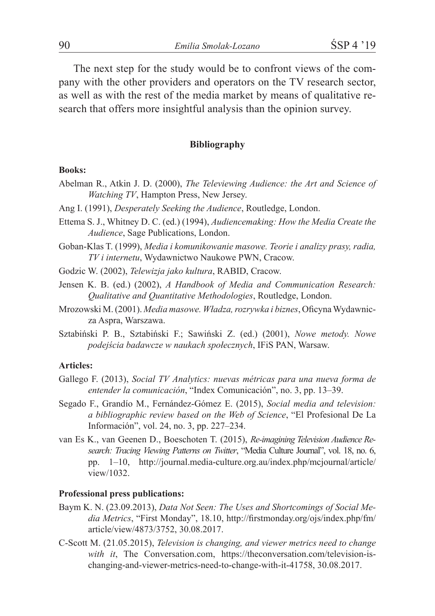The next step for the study would be to confront views of the company with the other providers and operators on the TV research sector, as well as with the rest of the media market by means of qualitative research that offers more insightful analysis than the opinion survey.

#### **Bibliography**

#### **Books:**

- Abelman R., Atkin J. D. (2000), *The Televiewing Audience: the Art and Science of Watching TV*, Hampton Press, New Jersey.
- Ang I. (1991), *Desperately Seeking the Audience*, Routledge, London.
- Ettema S. J., Whitney D. C. (ed.) (1994), *Audiencemaking: How the Media Create the Audience*, Sage Publications, London.
- Goban-Klas T. (1999), *Media i komunikowanie masowe. Teorie i analizy prasy, radia, TV i internetu*, Wydawnictwo Naukowe PWN, Cracow.
- Godzic W. (2002), *Telewizja jako kultura*, RABID, Cracow.
- Jensen K. B. (ed.) (2002), *A Handbook of Media and Communication Research: Qualitative and Quantitative Methodologies*, Routledge, London.
- Mrozowski M. (2001). *Media masowe. Władza, rozrywka i biznes*, Oficyna Wydawnicza Aspra, Warszawa.
- Sztabiński P. B., Sztabiński F.; Sawiński Z. (ed.) (2001), *Nowe metody. Nowe podejścia badawcze w naukach społecznych*, IFiS PAN, Warsaw.

#### **Articles:**

- Gallego F. (2013), *Social TV Analytics: nuevas métricas para una nueva forma de entender la comunicación*, "Index Comunicación", no. 3, pp. 13–39.
- Segado F., Grandío M., Fernández-Gómez E. (2015), *Social media and television: a bibliographic review based on the Web of Science*, "El Profesional De La Información", vol. 24, no. 3, pp. 227–234.
- van Es K., van Geenen D., Boeschoten T. (2015), *Re-imagining Television Audience Research: Tracing Viewing Patterns on Twitter*, "Media Culture Journal", vol. 18, no. 6, pp. 1–10, http://journal.media-culture.org.au/index.php/mcjournal/article/ view/1032.

#### **Professional press publications:**

- Baym K. N. (23.09.2013), *Data Not Seen: The Uses and Shortcomings of Social Media Metrics*, "First Monday", 18.10, http://firstmonday.org/ojs/index.php/fm/ article/view/4873/3752, 30.08.2017.
- C-Scott M. (21.05.2015), *Television is changing, and viewer metrics need to change*  with it, The Conversation.com, https://theconversation.com/television-ischanging-and-viewer-metrics-need-to-change-with-it-41758, 30.08.2017.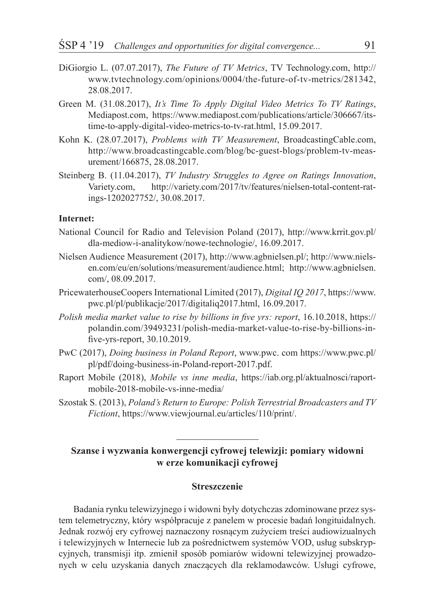- DiGiorgio L. (07.07.2017), *The Future of TV Metrics*, TV Technology.com, http:// www.tvtechnology.com/opinions/0004/the-future-of-tv-metrics/281342, 28.08.2017.
- Green M. (31.08.2017), *It's Time To Apply Digital Video Metrics To TV Ratings*, Mediapost.com, https://www.mediapost.com/publications/article/306667/itstime-to-apply-digital-video-metrics-to-tv-rat.html, 15.09.2017.
- Kohn K. (28.07.2017), *Problems with TV Measurement*, BroadcastingCable.com, http://www.broadcastingcable.com/blog/bc-guest-blogs/problem-tv-measurement/166875, 28.08.2017.
- Steinberg B. (11.04.2017), *TV Industry Struggles to Agree on Ratings Innovation*, Variety.com, http://variety.com/2017/tv/features/nielsen-total-content-ratings-1202027752/, 30.08.2017.

#### **Internet:**

- National Council for Radio and Television Poland (2017), http://www.krrit.gov.pl/ dla-mediow-i-analitykow/nowe-technologie/, 16.09.2017.
- Nielsen Audience Measurement (2017), http://www.agbnielsen.pl/; http://www.nielsen.com/eu/en/solutions/measurement/audience.html; http://www.agbnielsen. com/, 08.09.2017.
- PricewaterhouseCoopers International Limited (2017), *Digital IQ 2017*, https://www. pwc.pl/pl/publikacje/2017/digitaliq2017.html, 16.09.2017.
- *Polish media market value to rise by billions in five yrs: report*, 16.10.2018, https:// polandin.com/39493231/polish-media-market-value-to-rise-by-billions-infive-yrs-report, 30.10.2019.
- PwC (2017), *Doing business in Poland Report*, www.pwc. com https://www.pwc.pl/ pl/pdf/doing-business-in-Poland-report-2017.pdf.
- Raport Mobile (2018), *Mobile vs inne media*, https://iab.org.pl/aktualnosci/raportmobile-2018-mobile-vs-inne-media/
- Szostak S. (2013), *Poland's Return to Europe: Polish Terrestrial Broadcasters and TV Fictiont*, https://www.viewjournal.eu/articles/110/print/.

### **Szanse i wyzwania konwergencji cyfrowej telewizji: pomiary widowni w erze komunikacji cyfrowej**

#### **Streszczenie**

Badania rynku telewizyjnego i widowni były dotychczas zdominowane przez system telemetryczny, który współpracuje z panelem w procesie badań longituidalnych. Jednak rozwój ery cyfrowej naznaczony rosnącym zużyciem treści audiowizualnych i telewizyjnych w Internecie lub za pośrednictwem systemów VOD, usług subskrypcyjnych, transmisji itp. zmienił sposób pomiarów widowni telewizyjnej prowadzonych w celu uzyskania danych znaczących dla reklamodawców. Usługi cyfrowe,